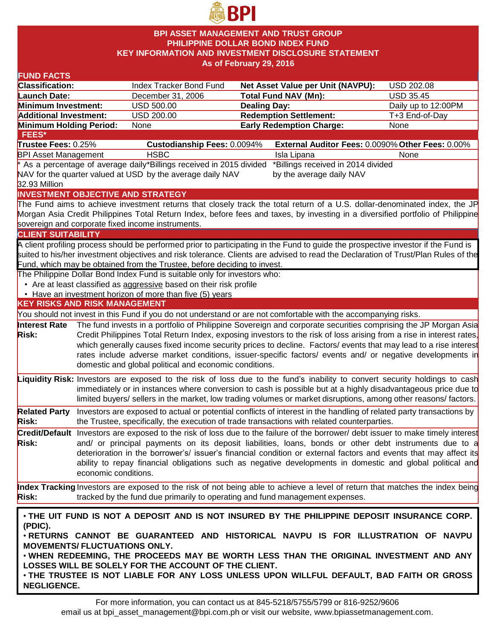

### **BPI ASSET MANAGEMENT AND TRUST GROUP PHILIPPINE DOLLAR BOND INDEX FUND KEY INFORMATION AND INVESTMENT DISCLOSURE STATEMENT As of February 29, 2016**

| <b>FUND FACTS</b>                                                                            |                      |                                                                                                                                                  |                     |                                                                                                                                    |                     |
|----------------------------------------------------------------------------------------------|----------------------|--------------------------------------------------------------------------------------------------------------------------------------------------|---------------------|------------------------------------------------------------------------------------------------------------------------------------|---------------------|
| <b>Classification:</b>                                                                       |                      | Index Tracker Bond Fund                                                                                                                          |                     | <b>Net Asset Value per Unit (NAVPU):</b>                                                                                           | USD 202.08          |
| <b>Launch Date:</b>                                                                          |                      | December 31, 2006                                                                                                                                |                     | <b>Total Fund NAV (Mn):</b>                                                                                                        | <b>USD 35.45</b>    |
| Minimum Investment:                                                                          |                      | <b>USD 500.00</b>                                                                                                                                | <b>Dealing Day:</b> |                                                                                                                                    | Daily up to 12:00PM |
| <b>Additional Investment:</b>                                                                |                      | USD 200.00                                                                                                                                       |                     | <b>Redemption Settlement:</b>                                                                                                      | T+3 End-of-Day      |
| Minimum Holding Period:                                                                      |                      | None                                                                                                                                             |                     | <b>Early Redemption Charge:</b>                                                                                                    | None                |
| FEES*                                                                                        |                      |                                                                                                                                                  |                     |                                                                                                                                    |                     |
| Trustee Fees: 0.25%                                                                          |                      | Custodianship Fees: 0.0094%                                                                                                                      |                     | External Auditor Fees: 0.0090% Other Fees: 0.00%                                                                                   |                     |
| <b>BPI Asset Management</b>                                                                  |                      | <b>HSBC</b>                                                                                                                                      |                     | Isla Lipana                                                                                                                        | None                |
|                                                                                              |                      | * As a percentage of average daily*Billings received in 2015 divided                                                                             |                     | *Billings received in 2014 divided                                                                                                 |                     |
|                                                                                              |                      | NAV for the quarter valued at USD by the average daily NAV                                                                                       |                     | by the average daily NAV                                                                                                           |                     |
| 32.93 Million                                                                                |                      |                                                                                                                                                  |                     |                                                                                                                                    |                     |
|                                                                                              |                      | <b>INVESTMENT OBJECTIVE AND STRATEGY</b>                                                                                                         |                     |                                                                                                                                    |                     |
|                                                                                              |                      |                                                                                                                                                  |                     | The Fund aims to achieve investment returns that closely track the total return of a U.S. dollar-denominated index, the JP         |                     |
|                                                                                              |                      |                                                                                                                                                  |                     | Morgan Asia Credit Philippines Total Return Index, before fees and taxes, by investing in a diversified portfolio of Philippine    |                     |
|                                                                                              |                      | sovereign and corporate fixed income instruments.                                                                                                |                     |                                                                                                                                    |                     |
| <b>CLIENT SUITABILITY</b>                                                                    |                      |                                                                                                                                                  |                     |                                                                                                                                    |                     |
|                                                                                              |                      |                                                                                                                                                  |                     | A client profiling process should be performed prior to participating in the Fund to guide the prospective investor if the Fund is |                     |
|                                                                                              |                      |                                                                                                                                                  |                     | suited to his/her investment objectives and risk tolerance. Clients are advised to read the Declaration of Trust/Plan Rules of the |                     |
|                                                                                              |                      | Fund, which may be obtained from the Trustee, before deciding to invest.                                                                         |                     |                                                                                                                                    |                     |
|                                                                                              |                      | The Philippine Dollar Bond Index Fund is suitable only for investors who:<br>• Are at least classified as aggressive based on their risk profile |                     |                                                                                                                                    |                     |
|                                                                                              |                      | • Have an investment horizon of more than five (5) years                                                                                         |                     |                                                                                                                                    |                     |
| <b>KEY RISKS AND RISK MANAGEMENT</b>                                                         |                      |                                                                                                                                                  |                     |                                                                                                                                    |                     |
|                                                                                              |                      |                                                                                                                                                  |                     | You should not invest in this Fund if you do not understand or are not comfortable with the accompanying risks.                    |                     |
| Interest Rate                                                                                |                      |                                                                                                                                                  |                     | The fund invests in a portfolio of Philippine Sovereign and corporate securities comprising the JP Morgan Asia                     |                     |
| <b>Risk:</b>                                                                                 |                      |                                                                                                                                                  |                     | Credit Philippines Total Return Index, exposing investors to the risk of loss arising from a rise in interest rates,               |                     |
|                                                                                              |                      |                                                                                                                                                  |                     | which generally causes fixed income security prices to decline. Factors/ events that may lead to a rise interest                   |                     |
|                                                                                              |                      |                                                                                                                                                  |                     | rates include adverse market conditions, issuer-specific factors/ events and/ or negative developments in                          |                     |
|                                                                                              |                      | domestic and global political and economic conditions.                                                                                           |                     |                                                                                                                                    |                     |
|                                                                                              |                      |                                                                                                                                                  |                     |                                                                                                                                    |                     |
|                                                                                              |                      |                                                                                                                                                  |                     | Liquidity Risk: Investors are exposed to the risk of loss due to the fund's inability to convert security holdings to cash         |                     |
|                                                                                              |                      |                                                                                                                                                  |                     | immediately or in instances where conversion to cash is possible but at a highly disadvantageous price due to                      |                     |
|                                                                                              |                      |                                                                                                                                                  |                     | limited buyers/ sellers in the market, low trading volumes or market disruptions, among other reasons/factors.                     |                     |
| <b>Related Party</b>                                                                         |                      |                                                                                                                                                  |                     | Investors are exposed to actual or potential conflicts of interest in the handling of related party transactions by                |                     |
| <b>Risk:</b>                                                                                 |                      |                                                                                                                                                  |                     | the Trustee, specifically, the execution of trade transactions with related counterparties.                                        |                     |
|                                                                                              |                      |                                                                                                                                                  |                     | Credit/Default Investors are exposed to the risk of loss due to the failure of the borrower/ debt issuer to make timely interest   |                     |
| Risk:                                                                                        |                      |                                                                                                                                                  |                     | and/ or principal payments on its deposit liabilities, loans, bonds or other debt instruments due to a                             |                     |
|                                                                                              |                      |                                                                                                                                                  |                     | deterioration in the borrower's/ issuer's financial condition or external factors and events that may affect its                   |                     |
|                                                                                              |                      |                                                                                                                                                  |                     | ability to repay financial obligations such as negative developments in domestic and global political and                          |                     |
|                                                                                              | economic conditions. |                                                                                                                                                  |                     |                                                                                                                                    |                     |
|                                                                                              |                      |                                                                                                                                                  |                     | Index Tracking Investors are exposed to the risk of not being able to achieve a level of return that matches the index being       |                     |
| <b>Risk:</b>                                                                                 |                      | tracked by the fund due primarily to operating and fund management expenses.                                                                     |                     |                                                                                                                                    |                     |
|                                                                                              |                      |                                                                                                                                                  |                     |                                                                                                                                    |                     |
| . THE UIT FUND IS NOT A DEPOSIT AND IS NOT INSURED BY THE PHILIPPINE DEPOSIT INSURANCE CORP. |                      |                                                                                                                                                  |                     |                                                                                                                                    |                     |
| (PDIC).                                                                                      |                      |                                                                                                                                                  |                     |                                                                                                                                    |                     |
| . RETURNS CANNOT BE GUARANTEED AND HISTORICAL NAVPU IS FOR ILLUSTRATION OF NAVPU             |                      |                                                                                                                                                  |                     |                                                                                                                                    |                     |
| <b>MOVEMENTS/ FLUCTUATIONS ONLY.</b>                                                         |                      |                                                                                                                                                  |                     |                                                                                                                                    |                     |
|                                                                                              |                      |                                                                                                                                                  |                     | . WHEN REDEEMING, THE PROCEEDS MAY BE WORTH LESS THAN THE ORIGINAL INVESTMENT AND ANY                                              |                     |
|                                                                                              |                      | LOSSES WILL BE SOLELY FOR THE ACCOUNT OF THE CLIENT.                                                                                             |                     |                                                                                                                                    |                     |
|                                                                                              |                      |                                                                                                                                                  |                     | THE TRUCTEE IS NOT LIARLE EOR ANY LOSS HNLESS HRON WILLELL DEEALLET RAD EAITH OR GROSS.                                            |                     |

• **THE TRUSTEE IS NOT LIABLE FOR ANY LOSS UNLESS UPON WILLFUL DEFAULT, BAD FAITH OR GROSS NEGLIGENCE.**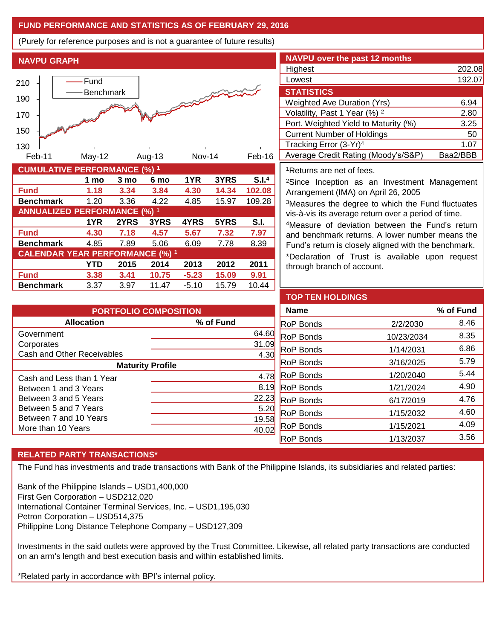## **FUND PERFORMANCE AND STATISTICS AS OF FEBRUARY 29, 2016**

(Purely for reference purposes and is not a guarantee of future results)

**NAVPU GRAPH**



| <b>CUMULATIVE PERFORMANCE (%) 1</b>    |      |      |       |         |       |                   |  |
|----------------------------------------|------|------|-------|---------|-------|-------------------|--|
|                                        | 1 mo | 3 mo | 6 mo  | 1YR     | 3YRS  | S.I. <sup>4</sup> |  |
| <b>Fund</b>                            | 1.18 | 3.34 | 3.84  | 4.30    | 14.34 | 102.08            |  |
| <b>Benchmark</b>                       | 1.20 | 3.36 | 4.22  | 4.85    | 15.97 | 109.28            |  |
| <b>ANNUALIZED PERFORMANCE (%) 1</b>    |      |      |       |         |       |                   |  |
|                                        | 1YR  | 2YRS | 3YRS  | 4YRS    | 5YRS  | S.I.              |  |
| <b>Fund</b>                            | 4.30 | 7.18 | 4.57  | 5.67    | 7.32  | 7.97              |  |
| <b>Benchmark</b>                       | 4.85 | 7.89 | 5.06  | 6.09    | 7.78  | 8.39              |  |
| <b>CALENDAR YEAR PERFORMANCE (%) 1</b> |      |      |       |         |       |                   |  |
|                                        | YTD  | 2015 | 2014  | 2013    | 2012  | 2011              |  |
| <b>Fund</b>                            | 3.38 | 3.41 | 10.75 | $-5.23$ | 15.09 | 9.91              |  |
| <b>Benchmark</b>                       | 3.37 | 3.97 | 11.47 | $-5.10$ | 15.79 | 10.44             |  |

| <b>NAVPU over the past 12 months</b>     |          |
|------------------------------------------|----------|
| Highest                                  | 202.08   |
| Lowest                                   | 192.07   |
| <b>STATISTICS</b>                        |          |
| <b>Weighted Ave Duration (Yrs)</b>       | 6.94     |
| Volatility, Past 1 Year (%) <sup>2</sup> | 2.80     |
| Port. Weighted Yield to Maturity (%)     | 3.25     |
| <b>Current Number of Holdings</b>        | 50       |
| Tracking Error (3-Yr) <sup>4</sup>       | 1.07     |
| Average Credit Rating (Moody's/S&P)      | Baa2/BBB |

<sup>1</sup>Returns are net of fees.

<sup>2</sup>Since Inception as an Investment Management Arrangement (IMA) on April 26, 2005

<sup>3</sup>Measures the degree to which the Fund fluctuates vis-à-vis its average return over a period of time.

<sup>4</sup>Measure of deviation between the Fund's return and benchmark returns. A lower number means the Fund's return is closely aligned with the benchmark.

\*Declaration of Trust is available upon request through branch of account.

| <b>PORTFOLIO COMPOSITION</b> |           |  |  |  |
|------------------------------|-----------|--|--|--|
| <b>Allocation</b>            | % of Fund |  |  |  |
| Government                   | 64.60     |  |  |  |
| Corporates                   | 31.09     |  |  |  |
| Cash and Other Receivables   | 4.30      |  |  |  |
| <b>Maturity Profile</b>      |           |  |  |  |
| Cash and Less than 1 Year    | 4.78      |  |  |  |
| Between 1 and 3 Years        | 8.19      |  |  |  |
| Between 3 and 5 Years        | 22.23     |  |  |  |
| Between 5 and 7 Years        | 5.20      |  |  |  |
| Between 7 and 10 Years       | 19.58     |  |  |  |
| More than 10 Years           |           |  |  |  |

| <b>TOP TEN HOLDINGS</b> |            |           |
|-------------------------|------------|-----------|
| <b>Name</b>             |            | % of Fund |
| <b>RoP Bonds</b>        | 2/2/2030   | 8.46      |
| RoP Bonds               | 10/23/2034 | 8.35      |
| <b>RoP Bonds</b>        | 1/14/2031  | 6.86      |
| RoP Bonds               | 3/16/2025  | 5.79      |
| RoP Bonds               | 1/20/2040  | 5.44      |
| RoP Bonds               | 1/21/2024  | 4.90      |
| <b>RoP Bonds</b>        | 6/17/2019  | 4.76      |
| <b>RoP Bonds</b>        | 1/15/2032  | 4.60      |
| <b>RoP Bonds</b>        | 1/15/2021  | 4.09      |
| RoP Bonds               | 1/13/2037  | 3.56      |

# **RELATED PARTY TRANSACTIONS\***

The Fund has investments and trade transactions with Bank of the Philippine Islands, its subsidiaries and related parties:

Bank of the Philippine Islands – USD1,400,000 First Gen Corporation – USD212,020 International Container Terminal Services, Inc. – USD1,195,030 Petron Corporation – USD514,375 Philippine Long Distance Telephone Company – USD127,309

Investments in the said outlets were approved by the Trust Committee. Likewise, all related party transactions are conducted on an arm's length and best execution basis and within established limits.

\*Related party in accordance with BPI's internal policy.